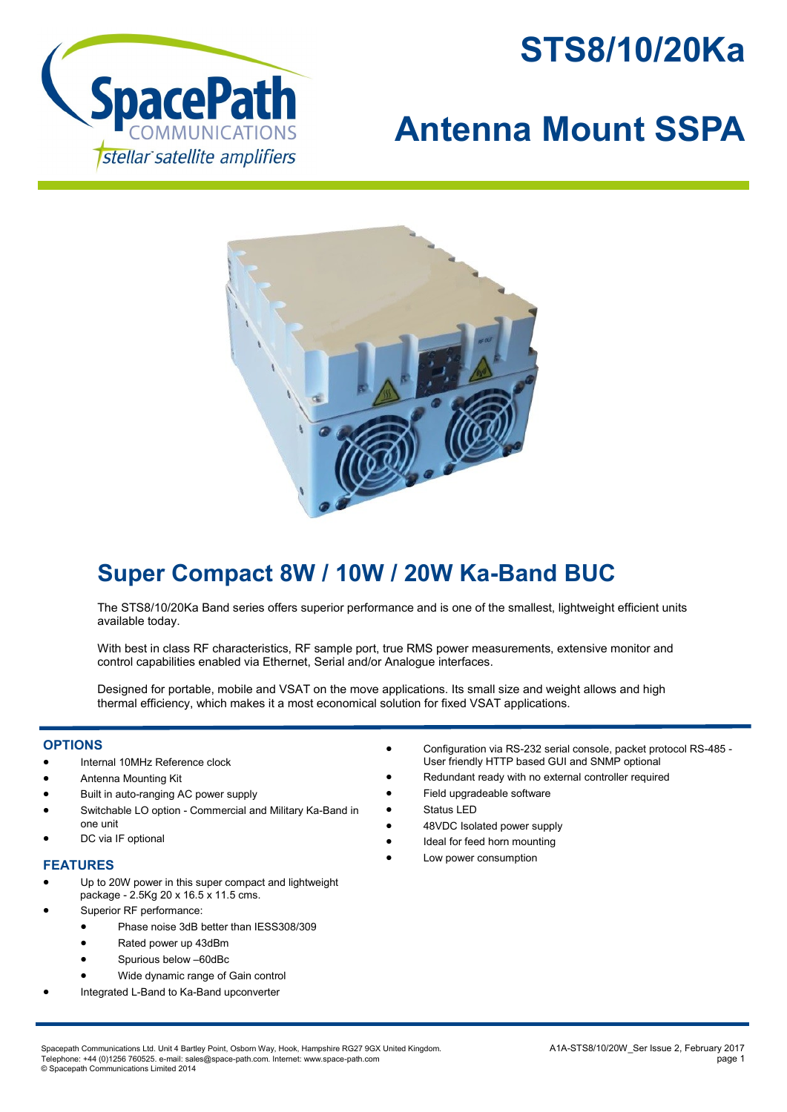



## **Antenna Mount SSPA**



## **Super Compact 8W / 10W / 20W Ka-Band BUC**

The STS8/10/20Ka Band series offers superior performance and is one of the smallest, lightweight efficient units available today.

With best in class RF characteristics, RF sample port, true RMS power measurements, extensive monitor and control capabilities enabled via Ethernet, Serial and/or Analogue interfaces.

Designed for portable, mobile and VSAT on the move applications. Its small size and weight allows and high thermal efficiency, which makes it a most economical solution for fixed VSAT applications.

## **OPTIONS**

- Internal 10MHz Reference clock
- Antenna Mounting Kit
- Built in auto-ranging AC power supply
- Switchable LO option Commercial and Military Ka-Band in one unit
- DC via IF optional

## **FEATURES**

- Up to 20W power in this super compact and lightweight package - 2.5Kg 20 x 16.5 x 11.5 cms.
- Superior RF performance:
	- Phase noise 3dB better than IESS308/309
	- Rated power up 43dBm
	- Spurious below –60dBc
	- Wide dynamic range of Gain control
	- Integrated L-Band to Ka-Band upconverter
- Configuration via RS-232 serial console, packet protocol RS-485 User friendly HTTP based GUI and SNMP optional
- Redundant ready with no external controller required
- Field upgradeable software
- Status LED
- 48VDC Isolated power supply
- Ideal for feed horn mounting
- Low power consumption

Spacepath Communications Ltd. Unit 4 Bartley Point, Osborn Way, Hook, Hampshire RG27 9GX United Kingdom. And Manus And Manus And STS8/10/20W\_Ser Issue 2, February 2017 Telephone: +44 (0)1256 760525. e-mail: sales@space-path.com. Internet: www.space-path.com page 1 © Spacepath Communications Limited 2014